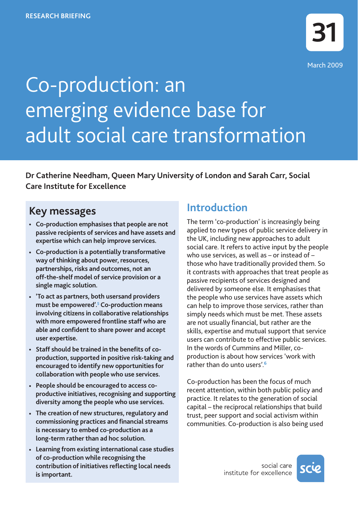# Co-production: an emerging evidence base for adult social care transformation

**Dr Catherine Needham, Queen Mary University of London and Sarah Carr, Social Care Institute for Excellence**

## **Key messages**

- **• Co-production emphasises that people are not passive recipients of services and have assets and expertise which can help improve services.**
- **• Co-production is a potentially transformative way of thinking about power, resources, partnerships, risks and outcomes, not an off-the-shelf model of service provision or a single magic solution.**
- **• 'To act as partners, both usersand providers must be empowered'.5 Co-production means involving citizens in collaborative relationships with more empowered frontline staff who are able and confident to share power and accept user expertise.**
- **• Staff should be trained in the benefits of coproduction, supported in positive risk-taking and encouraged to identify new opportunities for collaboration with people who use services.**
- **• People should be encouraged to access coproductive initiatives, recognising and supporting diversity among the people who use services.**
- **• The creation of new structures, regulatory and commissioning practices and financial streams is necessary to embed co-production as a long-term rather than ad hoc solution.**
- **• Learning from existing international case studies of co-production while recognising the contribution of initiatives reflecting local needs is important.**

# **Introduction**

The term 'co-production' is increasingly being applied to new types of public service delivery in the UK, including new approaches to adult social care. It refers to active input by the people who use services, as well as – or instead of – those who have traditionally provided them. So it contrasts with approaches that treat people as passive recipients of services designed and delivered by someone else. It emphasises that the people who use services have assets which can help to improve those services, rather than simply needs which must be met. These assets are not usually financial, but rather are the skills, expertise and mutual support that service users can contribute to effective public services. In the words of Cummins and Miller, coproduction is about how services 'work with rather than do unto users'.**<sup>6</sup>**

Co-production has been the focus of much recent attention, within both public policy and practice. It relates to the generation of social capital – the reciprocal relationships that build trust, peer support and social activism within communities. Co-production is also being used

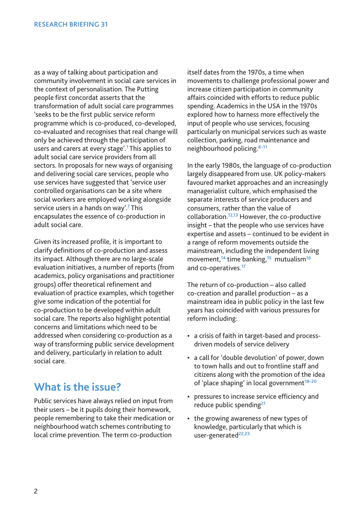as a way of talking about participation and community involvement in social care services in the context of personalisation. The Putting people first concordat asserts that the transformation of adult social care programmes 'seeks to be the first public service reform programme which is co-produced, co-developed, co-evaluated and recognises that real change will only be achieved through the participation of users and carers at every stage'.**<sup>1</sup>** This applies to adult social care service providers from all sectors. In proposals for new ways of organising and delivering social care services, people who use services have suggested that 'service user controlled organisations can be a site where social workers are employed working alongside service users in a hands on way'.**<sup>7</sup>** This encapsulates the essence of co-production in adult social care.

Given its increased profile, it is important to clarify definitions of co-production and assess its impact. Although there are no large-scale evaluation initiatives, a number of reports (from academics, policy organisations and practitioner groups) offer theoretical refinement and evaluation of practice examples, which together give some indication of the potential for co-production to be developed within adult social care. The reports also highlight potential concerns and limitations which need to be addressed when considering co-production as a way of transforming public service development and delivery, particularly in relation to adult social care.

### **What is the issue?**

Public services have always relied on input from their users – be it pupils doing their homework, people remembering to take their medication or neighbourhood watch schemes contributing to local crime prevention. The term co-production

itself dates from the 1970s, a time when movements to challenge professional power and increase citizen participation in community affairs coincided with efforts to reduce public spending. Academics in the USA in the 1970s explored how to harness more effectively the input of people who use services, focusing particularly on municipal services such as waste collection, parking, road maintenance and neighbourhood policing.**8–11**

In the early 1980s, the language of co-production largely disappeared from use. UK policy-makers favoured market approaches and an increasingly managerialist culture, which emphasised the separate interests of service producers and consumers, rather than the value of collaboration.**12,13** However, the co-productive insight – that the people who use services have expertise and assets – continued to be evident in a range of reform movements outside the mainstream, including the independent living movement,**<sup>14</sup>** time banking,**<sup>15</sup>** mutualism**<sup>16</sup>** and co-operatives.**<sup>17</sup>**

The return of co-production – also called co-creation and parallel production – as a mainstream idea in public policy in the last few years has coincided with various pressures for reform including:

- a crisis of faith in target-based and processdriven models of service delivery
- a call for 'double devolution' of power, down to town halls and out to frontline staff and citizens along with the promotion of the idea of 'place shaping' in local government**18–20**
- pressures to increase service efficiency and reduce public spending**<sup>21</sup>**
- the growing awareness of new types of knowledge, particularly that which is user-generated**22,23**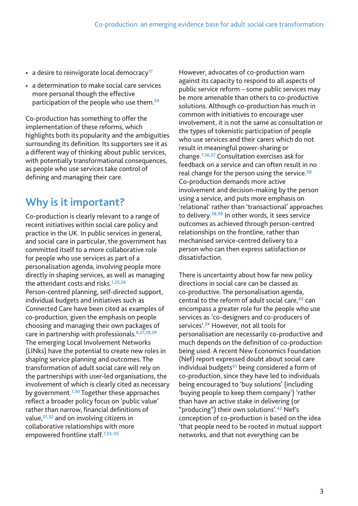- a desire to reinvigorate local democracy**<sup>17</sup>**
- a determination to make social care services more personal though the effective participation of the people who use them.**<sup>24</sup>**

Co-production has something to offer the implementation of these reforms, which highlights both its popularity and the ambiguities surrounding its definition. Its supporters see it as a different way of thinking about public services, with potentially transformational consequences, as people who use services take control of defining and managing their care.

### **Why is it important?**

Co-production is clearly relevant to a range of recent initiatives within social care policy and practice in the UK. In public services in general, and social care in particular, the government has committed itself to a more collaborative role for people who use services as part of a personalisation agenda, involving people more directly in shaping services, as well as managing the attendant costs and risks.**1,25,26** Person-centred planning, self-directed support, individual budgets and initiatives such as Connected Care have been cited as examples of co-production, given the emphasis on people choosing and managing their own packages of care in partnership with professionals.**6,27,28,29** The emerging Local Involvement Networks (LINks) have the potential to create new roles in shaping service planning and outcomes. The transformation of adult social care will rely on the partnerships with user-led organisations, the involvement of which is clearly cited as necessary by government.**1,30** Together these approaches reflect a broader policy focus on 'public value' rather than narrow, financial definitions of value,**31,32** and on involving citizens in collaborative relationships with more empowered frontline staff.**7,33–35**

However, advocates of co-production warn against its capacity to respond to all aspects of public service reform – some public services may be more amenable than others to co-productive solutions. Although co-production has much in common with initiatives to encourage user involvement, it is not the same as consultation or the types of tokenistic participation of people who use services and their carers which do not result in meaningful power-sharing or change.**7,36,37** Consultation exercises ask for feedback on a service and can often result in no real change for the person using the service.**<sup>38</sup>** Co-production demands more active involvement and decision-making by the person using a service, and puts more emphasis on 'relational' rather than 'transactional' approaches to delivery.**38,39** In other words, it sees service outcomes as achieved through person-centred relationships on the frontline, rather than mechanised service-centred delivery to a person who can then express satisfaction or dissatisfaction.

There is uncertainty about how far new policy directions in social care can be classed as co-productive. The personalisation agenda, central to the reform of adult social care,**<sup>40</sup>** can encompass a greater role for the people who use services as 'co-designers and co-producers of services'.**<sup>24</sup>** However, not all tools for personalisation are necessarily co-productive and much depends on the definition of co-production being used. A recent New Economics Foundation (Nef) report expressed doubt about social care individual budgets**<sup>41</sup>** being considered a form of co-production, since they have led to individuals being encouraged to 'buy solutions' (including 'buying people to keep them company') 'rather than have an active stake in delivering (or "producing") their own solutions'.**<sup>42</sup>** Nef's conception of co-production is based on the idea 'that people need to be rooted in mutual support networks, and that not everything can be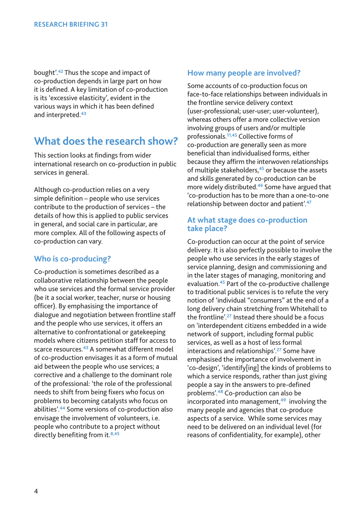bought'.**<sup>42</sup>** Thus the scope and impact of co-production depends in large part on how it is defined. A key limitation of co-production is its 'excessive elasticity', evident in the various ways in which it has been defined and interpreted.**<sup>43</sup>**

### **What does the research show?**

This section looks at findings from wider international research on co-production in public services in general.

Although co-production relies on a very simple definition – people who use services contribute to the production of services – the details of how this is applied to public services in general, and social care in particular, are more complex. All of the following aspects of co-production can vary.

### **Who is co-producing?**

Co-production is sometimes described as a collaborative relationship between the people who use services and the formal service provider (be it a social worker, teacher, nurse or housing officer). By emphasising the importance of dialogue and negotiation between frontline staff and the people who use services, it offers an alternative to confrontational or gatekeeping models where citizens petition staff for access to scarce resources.**<sup>43</sup>** A somewhat different model of co-production envisages it as a form of mutual aid between the people who use services; a corrective and a challenge to the dominant role of the professional: 'the role of the professional needs to shift from being fixers who focus on problems to becoming catalysts who focus on abilities'.**<sup>44</sup>** Some versions of co-production also envisage the involvement of volunteers, i.e. people who contribute to a project without directly benefiting from it.**8,45** 

#### **How many people are involved?**

Some accounts of co-production focus on face-to-face relationships between individuals in the frontline service delivery context (user-professional; user-user; user-volunteer), whereas others offer a more collective version involving groups of users and/or multiple professionals.**11,45** Collective forms of co-production are generally seen as more beneficial than individualised forms, either because they affirm the interwoven relationships of multiple stakeholders,**<sup>45</sup>** or because the assets and skills generated by co-production can be more widely distributed.**<sup>46</sup>** Some have argued that 'co-production has to be more than a one-to-one relationship between doctor and patient'.**<sup>47</sup>**

#### **At what stage does co-production take place?**

Co-production can occur at the point of service delivery. It is also perfectly possible to involve the people who use services in the early stages of service planning, design and commissioning and in the later stages of managing, monitoring and evaluation.**<sup>45</sup>** Part of the co-productive challenge to traditional public services is to refute the very notion of 'individual "consumers" at the end of a long delivery chain stretching from Whitehall to the frontline'.**<sup>27</sup>** Instead there should be a focus on 'interdependent citizens embedded in a wide network of support, including formal public services, as well as a host of less formal interactions and relationships'.**<sup>27</sup>** Some have emphasised the importance of involvement in 'co-design', 'identify[ing] the kinds of problems to which a service responds, rather than just giving people a say in the answers to pre-defined problems'.**<sup>48</sup>** Co-production can also be incorporated into management,**<sup>49</sup>** involving the many people and agencies that co-produce aspects of a service. While some services may need to be delivered on an individual level (for reasons of confidentiality, for example), other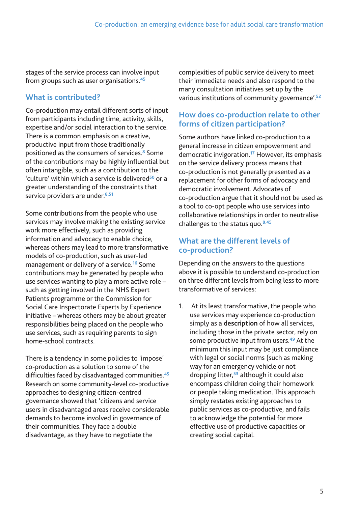stages of the service process can involve input from groups such as user organisations.**<sup>45</sup>**

### **What is contributed?**

Co-production may entail different sorts of input from participants including time, activity, skills, expertise and/or social interaction to the service. There is a common emphasis on a creative, productive input from those traditionally positioned as the consumers of services.**<sup>8</sup>** Some of the contributions may be highly influential but often intangible, such as a contribution to the 'culture' within which a service is delivered**<sup>50</sup>** or a greater understanding of the constraints that service providers are under.**8,51** 

Some contributions from the people who use services may involve making the existing service work more effectively, such as providing information and advocacy to enable choice, whereas others may lead to more transformative models of co-production, such as user-led management or delivery of a service.**<sup>16</sup>** Some contributions may be generated by people who use services wanting to play a more active role – such as getting involved in the NHS Expert Patients programme or the Commission for Social Care Inspectorate Experts by Experience initiative – whereas others may be about greater responsibilities being placed on the people who use services, such as requiring parents to sign home-school contracts.

There is a tendency in some policies to 'impose' co-production as a solution to some of the difficulties faced by disadvantaged communities.**<sup>45</sup>** Research on some community-level co-productive approaches to designing citizen-centred governance showed that 'citizens and service users in disadvantaged areas receive considerable demands to become involved in governance of their communities. They face a double disadvantage, as they have to negotiate the

complexities of public service delivery to meet their immediate needs and also respond to the many consultation initiatives set up by the various institutions of community governance'.**<sup>52</sup>**

### **How does co-production relate to other forms of citizen participation?**

Some authors have linked co-production to a general increase in citizen empowerment and democratic invigoration.**<sup>17</sup>** However, its emphasis on the service delivery process means that co-production is not generally presented as a replacement for other forms of advocacy and democratic involvement. Advocates of co-production argue that it should not be used as a tool to co-opt people who use services into collaborative relationships in order to neutralise challenges to the status quo.**8,45**

### **What are the different levels of co-production?**

Depending on the answers to the questions above it is possible to understand co-production on three different levels from being less to more transformative of services:

1. At its least transformative, the people who use services may experience co-production simply as a **description** of how all services, including those in the private sector, rely on some productive input from users.**<sup>49</sup>** At the minimum this input may be just compliance with legal or social norms (such as making way for an emergency vehicle or not dropping litter,**<sup>53</sup>** although it could also encompass children doing their homework or people taking medication. This approach simply restates existing approaches to public services as co-productive, and fails to acknowledge the potential for more effective use of productive capacities or creating social capital.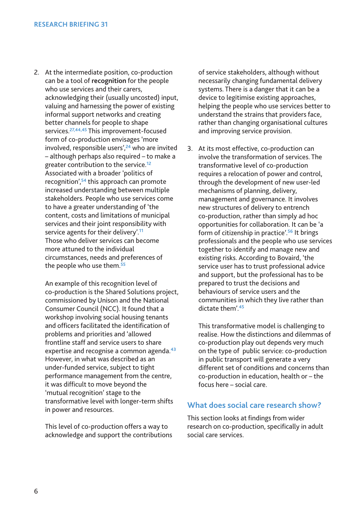2. At the intermediate position, co-production can be a tool of **recognition** for the people who use services and their carers, acknowledging their (usually uncosted) input, valuing and harnessing the power of existing informal support networks and creating better channels for people to shape services.**27,44,45** This improvement-focused form of co-production envisages 'more involved, responsible users',**<sup>24</sup>** who are invited – although perhaps also required – to make a greater contribution to the service.**<sup>12</sup>** Associated with a broader 'politics of recognition',**<sup>54</sup>** this approach can promote increased understanding between multiple stakeholders. People who use services come to have a greater understanding of 'the content, costs and limitations of municipal services and their joint responsibility with service agents for their delivery'.**<sup>11</sup>** Those who deliver services can become more attuned to the individual circumstances, needs and preferences of the people who use them.**<sup>55</sup>**

An example of this recognition level of co-production is the Shared Solutions project, commissioned by Unison and the National Consumer Council (NCC). It found that a workshop involving social housing tenants and officers facilitated the identification of problems and priorities and 'allowed frontline staff and service users to share expertise and recognise a common agenda.**<sup>43</sup>** However, in what was described as an under-funded service, subject to tight performance management from the centre, it was difficult to move beyond the 'mutual recognition' stage to the transformative level with longer-term shifts in power and resources.

This level of co-production offers a way to acknowledge and support the contributions of service stakeholders, although without necessarily changing fundamental delivery systems. There is a danger that it can be a device to legitimise existing approaches, helping the people who use services better to understand the strains that providers face, rather than changing organisational cultures and improving service provision.

3. At its most effective, co-production can involve the transformation of services. The transformative level of co-production requires a relocation of power and control, through the development of new user-led mechanisms of planning, delivery, management and governance. It involves new structures of delivery to entrench co-production, rather than simply ad hoc opportunities for collaboration. It can be 'a form of citizenship in practice'.**<sup>56</sup>** It brings professionals and the people who use services together to identify and manage new and existing risks. According to Bovaird, 'the service user has to trust professional advice and support, but the professional has to be prepared to trust the decisions and behaviours of service users and the communities in which they live rather than dictate them'.**<sup>45</sup>**

This transformative model is challenging to realise. How the distinctions and dilemmas of co-production play out depends very much on the type of public service: co-production in public transport will generate a very different set of conditions and concerns than co-production in education, health or – the focus here – social care.

#### **What does social care research show?**

This section looks at findings from wider research on co-production, specifically in adult social care services.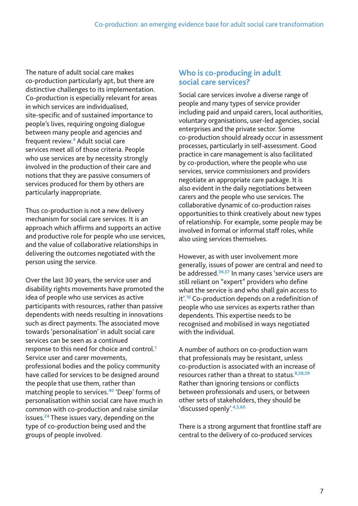The nature of adult social care makes co-production particularly apt, but there are distinctive challenges to its implementation. Co-production is especially relevant for areas in which services are individualised, site-specific and of sustained importance to people's lives, requiring ongoing dialogue between many people and agencies and frequent review.**<sup>4</sup>** Adult social care services meet all of those criteria. People who use services are by necessity strongly involved in the production of their care and notions that they are passive consumers of services produced for them by others are particularly inappropriate.

Thus co-production is not a new delivery mechanism for social care services. It is an approach which affirms and supports an active and productive role for people who use services, and the value of collaborative relationships in delivering the outcomes negotiated with the person using the service.

Over the last 30 years, the service user and disability rights movements have promoted the idea of people who use services as active participants with resources, rather than passive dependents with needs resulting in innovations such as direct payments. The associated move towards 'personalisation' in adult social care services can be seen as a continued response to this need for choice and control.**<sup>1</sup>** Service user and carer movements, professional bodies and the policy community have called for services to be designed around the people that use them, rather than matching people to services.**<sup>40</sup>** 'Deep' forms of personalisation within social care have much in common with co-production and raise similar issues.**<sup>24</sup>** These issues vary, depending on the type of co-production being used and the groups of people involved.

### **Who is co-producing in adult social care services?**

Social care services involve a diverse range of people and many types of service provider including paid and unpaid carers, local authorities, voluntary organisations, user-led agencies, social enterprises and the private sector. Some co-production should already occur in assessment processes, particularly in self-assessment. Good practice in care management is also facilitated by co-production, where the people who use services, service commissioners and providers negotiate an appropriate care package. It is also evident in the daily negotiations between carers and the people who use services. The collaborative dynamic of co-production raises opportunities to think creatively about new types of relationship. For example, some people may be involved in formal or informal staff roles, while also using services themselves.

However, as with user involvement more generally, issues of power are central and need to be addressed.**36,57** In many cases 'service users are still reliant on "expert" providers who define what the service is and who shall gain access to it'.**<sup>16</sup>** Co-production depends on a redefinition of people who use services as experts rather than dependents. This expertise needs to be recognised and mobilised in ways negotiated with the individual.

A number of authors on co-production warn that professionals may be resistant, unless co-production is associated with an increase of resources rather than a threat to status.**8,58,59** Rather than ignoring tensions or conflicts between professionals and users, or between other sets of stakeholders, they should be 'discussed openly'.**4,5,60**

There is a strong argument that frontline staff are central to the delivery of co-produced services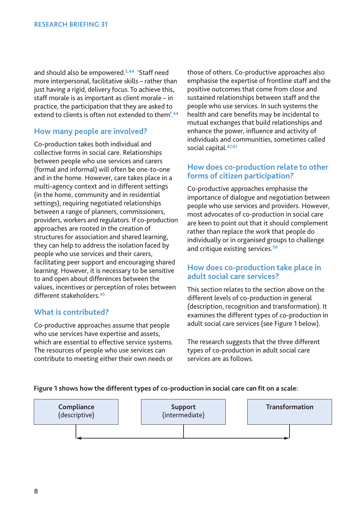and should also be empowered.**5,44** 'Staff need more interpersonal, facilitative skills – rather than just having a rigid, delivery focus. To achieve this, staff morale is as important as client morale – in practice, the participation that they are asked to extend to clients is often not extended to them'.**<sup>44</sup>**

#### **How many people are involved?**

Co-production takes both individual and collective forms in social care. Relationships between people who use services and carers (formal and informal) will often be one-to-one and in the home. However, care takes place in a multi-agency context and in different settings (in the home, community and in residential settings), requiring negotiated relationships between a range of planners, commissioners, providers, workers and regulators. If co-production approaches are rooted in the creation of structures for association and shared learning, they can help to address the isolation faced by people who use services and their carers, facilitating peer support and encouraging shared learning. However, it is necessary to be sensitive to and open about differences between the values, incentives or perception of roles between different stakeholders.**<sup>45</sup>**

#### **What is contributed?**

Co-productive approaches assume that people who use services have expertise and assets, which are essential to effective service systems. The resources of people who use services can contribute to meeting either their own needs or those of others. Co-productive approaches also emphasise the expertise of frontline staff and the positive outcomes that come from close and sustained relationships between staff and the people who use services. In such systems the health and care benefits may be incidental to mutual exchanges that build relationships and enhance the power, influence and activity of individuals and communities, sometimes called social capital.**47,61** 

#### **How does co-production relate to other forms of citizen participation?**

Co-productive approaches emphasise the importance of dialogue and negotiation between people who use services and providers. However, most advocates of co-production in social care are keen to point out that it should complement rather than replace the work that people do individually or in organised groups to challenge and critique existing services.**<sup>56</sup>**

#### **How does co-production take place in adult social care services?**

This section relates to the section above on the different levels of co-production in general (description, recognition and transformation). It examines the different types of co-production in adult social care services (see Figure 1 below).

The research suggests that the three different types of co-production in adult social care services are as follows.

#### **Figure 1 shows how the different types of co-production in social care can fit on a scale:**

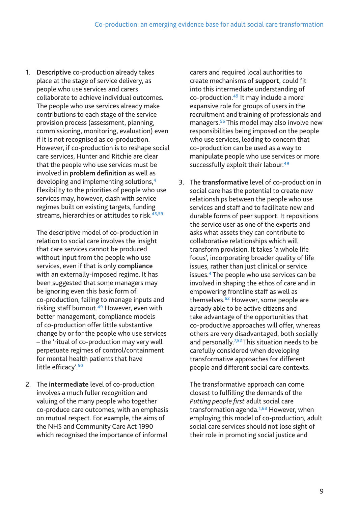1. **Descriptive** co-production already takes place at the stage of service delivery, as people who use services and carers collaborate to achieve individual outcomes. The people who use services already make contributions to each stage of the service provision process (assessment, planning, commissioning, monitoring, evaluation) even if it is not recognised as co-production. However, if co-production is to reshape social care services, Hunter and Ritchie are clear that the people who use services must be involved in **problem definition** as well as developing and implementing solutions,**<sup>4</sup>** Flexibility to the priorities of people who use services may, however, clash with service regimes built on existing targets, funding streams, hierarchies or attitudes to risk.**45,59**

The descriptive model of co-production in relation to social care involves the insight that care services cannot be produced without input from the people who use services, even if that is only **compliance** with an externally-imposed regime. It has been suggested that some managers may be ignoring even this basic form of co-production, failing to manage inputs and risking staff burnout.**<sup>49</sup>** However, even with better management, compliance models of co-production offer little substantive change by or for the people who use services – the 'ritual of co-production may very well perpetuate regimes of control/containment for mental health patients that have little efficacy'.**<sup>50</sup>**

2. The **intermediate** level of co-production involves a much fuller recognition and valuing of the many people who together co-produce care outcomes, with an emphasis on mutual respect. For example, the aims of the NHS and Community Care Act 1990 which recognised the importance of informal

carers and required local authorities to create mechanisms of **support**, could fit into this intermediate understanding of co-production.**<sup>49</sup>** It may include a more expansive role for groups of users in the recruitment and training of professionals and managers.**<sup>56</sup>** This model may also involve new responsibilities being imposed on the people who use services, leading to concern that co-production can be used as a way to manipulate people who use services or more successfully exploit their labour.**<sup>49</sup>**

3. The **transformative** level of co-production in social care has the potential to create new relationships between the people who use services and staff and to facilitate new and durable forms of peer support. It repositions the service user as one of the experts and asks what assets they can contribute to collaborative relationships which will transform provision. It takes 'a whole life focus', incorporating broader quality of life issues, rather than just clinical or service issues.**<sup>4</sup>** The people who use services can be involved in shaping the ethos of care and in empowering frontline staff as well as themselves.**<sup>62</sup>** However, some people are already able to be active citizens and take advantage of the opportunities that co-productive approaches will offer, whereas others are very disadvantaged, both socially and personally.**7,52** This situation needs to be carefully considered when developing transformative approaches for different people and different social care contexts.

The transformative approach can come closest to fulfilling the demands of the *Putting people first* adult social care transformation agenda.**1,63** However, when employing this model of co-production, adult social care services should not lose sight of their role in promoting social justice and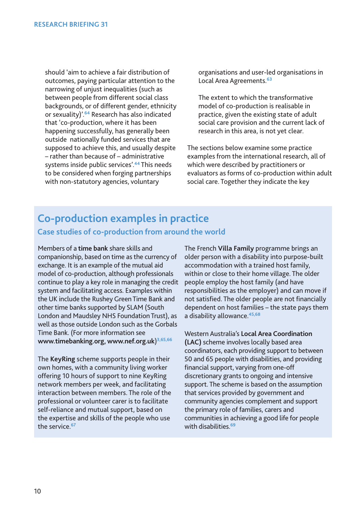should 'aim to achieve a fair distribution of outcomes, paying particular attention to the narrowing of unjust inequalities (such as between people from different social class backgrounds, or of different gender, ethnicity or sexuality)'.**<sup>64</sup>** Research has also indicated that 'co-production, where it has been happening successfully, has generally been outside nationally funded services that are supposed to achieve this, and usually despite – rather than because of – administrative systems inside public services'.**<sup>44</sup>** This needs to be considered when forging partnerships with non-statutory agencies, voluntary

organisations and user-led organisations in Local Area Agreements.**<sup>63</sup>**

The extent to which the transformative model of co-production is realisable in practice, given the existing state of adult social care provision and the current lack of research in this area, is not yet clear.

The sections below examine some practice examples from the international research, all of which were described by practitioners or evaluators as forms of co-production within adult social care. Together they indicate the key

# **Co-production examples in practice Case studies of co-production from around the world**

Members of a **time bank** share skills and companionship, based on time as the currency of exchange. It is an example of the mutual aid model of co-production, although professionals continue to play a key role in managing the credit system and facilitating access. Examples within the UK include the Rushey Green Time Bank and other time banks supported by SLAM (South London and Maudsley NHS Foundation Trust), as well as those outside London such as the Gorbals Time Bank. (For more information see **www.timebanking.org, www.nef.org.uk**)**3,65,66**

The **KeyRing** scheme supports people in their own homes, with a community living worker offering 10 hours of support to nine KeyRing network members per week, and facilitating interaction between members. The role of the professional or volunteer carer is to facilitate self-reliance and mutual support, based on the expertise and skills of the people who use the service.**<sup>67</sup>**

The French **Villa Family** programme brings an older person with a disability into purpose-built accommodation with a trained host family, within or close to their home village. The older people employ the host family (and have responsibilities as the employer) and can move if not satisfied. The older people are not financially dependent on host families – the state pays them a disability allowance.**45,68**

Western Australia's **Local Area Coordination (LAC)** scheme involves locally based area coordinators, each providing support to between 50 and 65 people with disabilities, and providing financial support, varying from one-off discretionary grants to ongoing and intensive support. The scheme is based on the assumption that services provided by government and community agencies complement and support the primary role of families, carers and communities in achieving a good life for people with disabilities.**<sup>69</sup>**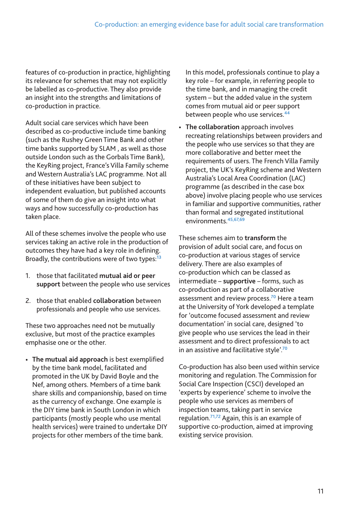features of co-production in practice, highlighting its relevance for schemes that may not explicitly be labelled as co-productive. They also provide an insight into the strengths and limitations of co-production in practice.

Adult social care services which have been described as co-productive include time banking (such as the Rushey Green Time Bank and other time banks supported by SLAM , as well as those outside London such as the Gorbals Time Bank), the KeyRing project, France's Villa Family scheme and Western Australia's LAC programme. Not all of these initiatives have been subject to independent evaluation, but published accounts of some of them do give an insight into what ways and how successfully co-production has taken place.

All of these schemes involve the people who use services taking an active role in the production of outcomes they have had a key role in defining. Broadly, the contributions were of two types:**<sup>13</sup>**

- 1. those that facilitated **mutual aid or peer support** between the people who use services
- 2. those that enabled **collaboration** between professionals and people who use services.

These two approaches need not be mutually exclusive, but most of the practice examples emphasise one or the other.

• **The mutual aid approach** is best exemplified by the time bank model, facilitated and promoted in the UK by David Boyle and the Nef, among others. Members of a time bank share skills and companionship, based on time as the currency of exchange. One example is the DIY time bank in South London in which participants (mostly people who use mental health services) were trained to undertake DIY projects for other members of the time bank.

In this model, professionals continue to play a key role – for example, in referring people to the time bank, and in managing the credit system – but the added value in the system comes from mutual aid or peer support between people who use services.**<sup>44</sup>**

• **The collaboration** approach involves recreating relationships between providers and the people who use services so that they are more collaborative and better meet the requirements of users. The French Villa Family project, the UK's KeyRing scheme and Western Australia's Local Area Coordination (LAC) programme (as described in the case box above) involve placing people who use services in familiar and supportive communities, rather than formal and segregated institutional environments.**45,67,69** 

These schemes aim to **transform** the provision of adult social care, and focus on co-production at various stages of service delivery. There are also examples of co-production which can be classed as intermediate – **supportive** – forms, such as co-production as part of a collaborative assessment and review process.**<sup>70</sup>** Here a team at the University of York developed a template for 'outcome focused assessment and review documentation' in social care, designed 'to give people who use services the lead in their assessment and to direct professionals to act in an assistive and facilitative style'.**<sup>70</sup>**

Co-production has also been used within service monitoring and regulation. The Commission for Social Care Inspection (CSCI) developed an 'experts by experience' scheme to involve the people who use services as members of inspection teams, taking part in service regulation.**71,72** Again, this is an example of supportive co-production, aimed at improving existing service provision.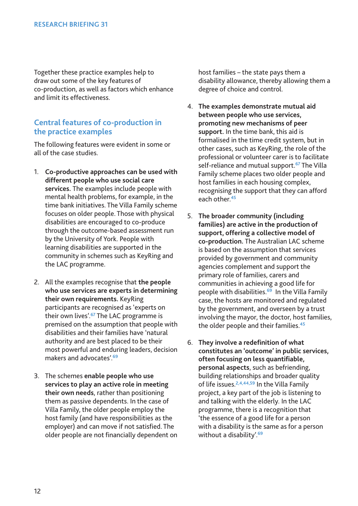Together these practice examples help to draw out some of the key features of co-production, as well as factors which enhance and limit its effectiveness.

#### **Central features of co-production in the practice examples**

The following features were evident in some or all of the case studies.

- 1. **Co-productive approaches can be used with different people who use social care services.** The examples include people with mental health problems, for example, in the time bank initiatives. The Villa Family scheme focuses on older people. Those with physical disabilities are encouraged to co-produce through the outcome-based assessment run by the University of York. People with learning disabilities are supported in the community in schemes such as KeyRing and the LAC programme.
- 2. All the examples recognise that **the people who use services are experts in determining their own requirements.** KeyRing participants are recognised as 'experts on their own lives'.**<sup>67</sup>** The LAC programme is premised on the assumption that people with disabilities and their families have 'natural authority and are best placed to be their most powerful and enduring leaders, decision makers and advocates'.**<sup>69</sup>**
- 3. The schemes **enable people who use services to play an active role in meeting their own needs**, rather than positioning them as passive dependents. In the case of Villa Family, the older people employ the host family (and have responsibilities as the employer) and can move if not satisfied. The older people are not financially dependent on

host families – the state pays them a disability allowance, thereby allowing them a degree of choice and control.

- 4. **The examples demonstrate mutual aid between people who use services, promoting new mechanisms of peer support.** In the time bank, this aid is formalised in the time credit system, but in other cases, such as KeyRing, the role of the professional or volunteer carer is to facilitate self-reliance and mutual support.**<sup>67</sup>** The Villa Family scheme places two older people and host families in each housing complex, recognising the support that they can afford each other.**<sup>45</sup>**
- 5. **The broader community (including families) are active in the production of support, offering a collective model of co-production.** The Australian LAC scheme is based on the assumption that services provided by government and community agencies complement and support the primary role of families, carers and communities in achieving a good life for people with disabilities.**<sup>69</sup>** In the Villa Family case, the hosts are monitored and regulated by the government, and overseen by a trust involving the mayor, the doctor, host families, the older people and their families.**<sup>45</sup>**
- 6. **They involve a redefinition of what constitutes an 'outcome' in public services, often focusing on less quantifiable, personal aspects**, such as befriending, building relationships and broader quality of life issues.**2,4,44,59** In the Villa Family project, a key part of the job is listening to and talking with the elderly. In the LAC programme, there is a recognition that 'the essence of a good life for a person with a disability is the same as for a person without a disability'.**<sup>69</sup>**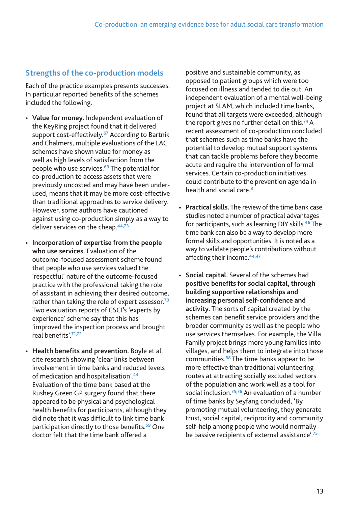### **Strengths of the co-production models**

Each of the practice examples presents successes. In particular reported benefits of the schemes included the following.

- **Value for money.** Independent evaluation of the KeyRing project found that it delivered support cost-effectively.**<sup>67</sup>** According to Bartnik and Chalmers, multiple evaluations of the LAC schemes have shown value for money as well as high levels of satisfaction from the people who use services.**<sup>69</sup>** The potential for co-production to access assets that were previously uncosted and may have been underused, means that it may be more cost-effective than traditional approaches to service delivery. However, some authors have cautioned against using co-production simply as a way to deliver services on the cheap.**44,73**
- **Incorporation of expertise from the people who use services.** Evaluation of the outcome-focused assessment scheme found that people who use services valued the 'respectful' nature of the outcome-focused practice with the professional taking the role of assistant in achieving their desired outcome, rather than taking the role of expert assessor.**<sup>70</sup>** Two evaluation reports of CSCI's 'experts by experience' scheme say that this has 'improved the inspection process and brought real benefits'.**71,72**
- **Health benefits and prevention.** Boyle et al. cite research showing 'clear links between involvement in time banks and reduced levels of medication and hospitalisation'.**<sup>44</sup>** Evaluation of the time bank based at the Rushey Green GP surgery found that there appeared to be physical and psychological health benefits for participants, although they did note that it was difficult to link time bank participation directly to those benefits.**<sup>59</sup>** One doctor felt that the time bank offered a

positive and sustainable community, as opposed to patient groups which were too focused on illness and tended to die out. An independent evaluation of a mental well-being project at SLAM, which included time banks, found that all targets were exceeded, although the report gives no further detail on this.**<sup>74</sup>**A recent assessment of co-production concluded that schemes such as time banks have the potential to develop mutual support systems that can tackle problems before they become acute and require the intervention of formal services. Certain co-production initiatives could contribute to the prevention agenda in health and social care.**<sup>3</sup>**

- **Practical skills.** The review of the time bank case studies noted a number of practical advantages for participants, such as learning DIY skills.**<sup>46</sup>** The time bank can also be a way to develop more formal skills and opportunities. It is noted as a way to validate people's contributions without affecting their income.**44,47**
- **Social capital.** Several of the schemes had **positive benefits for social capital, through building supportive relationships and increasing personal self-confidence and activity**. The sorts of capital created by the schemes can benefit service providers and the broader community as well as the people who use services themselves. For example, the Villa Family project brings more young families into villages, and helps them to integrate into those communities.**<sup>68</sup>** The time banks appear to be more effective than traditional volunteering routes at attracting socially excluded sectors of the population and work well as a tool for social inclusion.**75,76** An evaluation of a number of time banks by Seyfang concluded, 'By promoting mutual volunteering, they generate trust, social capital, reciprocity and community self-help among people who would normally be passive recipients of external assistance'.**75**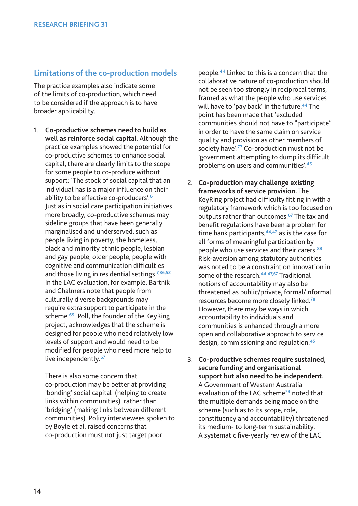#### **Limitations of the co-production models**

The practice examples also indicate some of the limits of co-production, which need to be considered if the approach is to have broader applicability.

1. **Co-productive schemes need to build as well as reinforce social capital.** Although the practice examples showed the potential for co-productive schemes to enhance social capital, there are clearly limits to the scope for some people to co-produce without support: 'The stock of social capital that an individual has is a major influence on their ability to be effective co-producers'.**<sup>6</sup>** Just as in social care participation initiatives more broadly, co-productive schemes may sideline groups that have been generally marginalised and underserved, such as people living in poverty, the homeless, black and minority ethnic people, lesbian and gay people, older people, people with cognitive and communication difficulties and those living in residential settings.**7,36,52** In the LAC evaluation, for example, Bartnik and Chalmers note that people from culturally diverse backgrounds may require extra support to participate in the scheme.**<sup>69</sup>** Poll, the founder of the KeyRing project, acknowledges that the scheme is designed for people who need relatively low levels of support and would need to be modified for people who need more help to live independently.**<sup>67</sup>**

There is also some concern that co-production may be better at providing 'bonding' social capital (helping to create links within communities) rather than 'bridging' (making links between different communities). Policy interviewees spoken to by Boyle et al. raised concerns that co-production must not just target poor

people.**<sup>44</sup>** Linked to this is a concern that the collaborative nature of co-production should not be seen too strongly in reciprocal terms, framed as what the people who use services will have to 'pay back' in the future.**<sup>44</sup>** The point has been made that 'excluded communities should not have to "participate" in order to have the same claim on service quality and provision as other members of society have'.**<sup>77</sup>** Co-production must not be 'government attempting to dump its difficult problems on users and communities'.**<sup>45</sup>**

- 2. **Co-production may challenge existing frameworks of service provision.** The KeyRing project had difficulty fitting in with a regulatory framework which is too focused on outputs rather than outcomes.**<sup>67</sup>** The tax and benefit regulations have been a problem for time bank participants,**44,47** as is the case for all forms of meaningful participation by people who use services and their carers.**<sup>83</sup>** Risk-aversion among statutory authorities was noted to be a constraint on innovation in some of the research.**44,47,67** Traditional notions of accountability may also be threatened as public/private, formal/informal resources become more closely linked.**<sup>78</sup>** However, there may be ways in which accountability to individuals and communities is enhanced through a more open and collaborative approach to service design, commissioning and regulation.**<sup>45</sup>**
- 3. **Co-productive schemes require sustained, secure funding and organisational support but also need to be independent.** A Government of Western Australia evaluation of the LAC scheme**<sup>79</sup>** noted that the multiple demands being made on the scheme (such as to its scope, role, constituency and accountability) threatened its medium- to long-term sustainability. A systematic five-yearly review of the LAC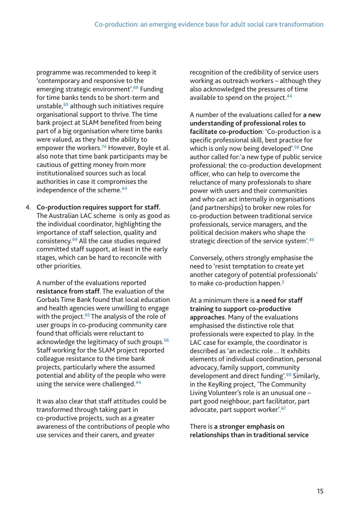programme was recommended to keep it 'contemporary and responsive to the emerging strategic environment'.**<sup>69</sup>** Funding for time banks tends to be short-term and unstable,**<sup>65</sup>** although such initiatives require organisational support to thrive. The time bank project at SLAM benefited from being part of a big organisation where time banks were valued, as they had the ability to empower the workers.**<sup>74</sup>** However, Boyle et al. also note that time bank participants may be cautious of getting money from more institutionalised sources such as local authorities in case it compromises the independence of the scheme.**<sup>44</sup>**

4. **Co-production requires support for staff.** The Australian LAC scheme is only as good as the individual coordinator, highlighting the importance of staff selection, quality and consistency.**<sup>69</sup>** All the case studies required committed staff support, at least in the early stages, which can be hard to reconcile with other priorities.

A number of the evaluations reported **resistance from staff**. The evaluation of the Gorbals Time Bank found that local education and health agencies were unwilling to engage with the project.**<sup>65</sup>** The analysis of the role of user groups in co-producing community care found that officials were reluctant to acknowledge the legitimacy of such groups.**<sup>56</sup>** Staff working for the SLAM project reported colleague resistance to the time bank projects, particularly where the assumed potential and ability of the people who were using the service were challenged.**<sup>44</sup>**

It was also clear that staff attitudes could be transformed through taking part in co-productive projects, such as a greater awareness of the contributions of people who use services and their carers, and greater

recognition of the credibility of service users working as outreach workers – although they also acknowledged the pressures of time available to spend on the project.**<sup>44</sup>**

A number of the evaluations called for **a new understanding of professional roles to facilitate co-production**: 'Co-production is a specific professional skill, best practice for which is only now being developed'.**<sup>59</sup>** One author called for:'a new type of public service professional: the co-production development officer, who can help to overcome the reluctance of many professionals to share power with users and their communities and who can act internally in organisations (and partnerships) to broker new roles for co-production between traditional service professionals, service managers, and the political decision makers who shape the strategic direction of the service system'.**<sup>45</sup>**

Conversely, others strongly emphasise the need to 'resist temptation to create yet another category of potential professionals' to make co-production happen.**<sup>2</sup>**

At a minimum there is **a need for staff training to support co-productive approaches**. Many of the evaluations emphasised the distinctive role that professionals were expected to play. In the LAC case for example, the coordinator is described as 'an eclectic role… It exhibits elements of individual coordination, personal advocacy, family support, community development and direct funding'.**<sup>69</sup>** Similarly, in the KeyRing project, 'The Community Living Volunteer's role is an unusual one – part good neighbour, part facilitator, part advocate, part support worker'.**<sup>67</sup>**

There is **a stronger emphasis on relationships than in traditional service**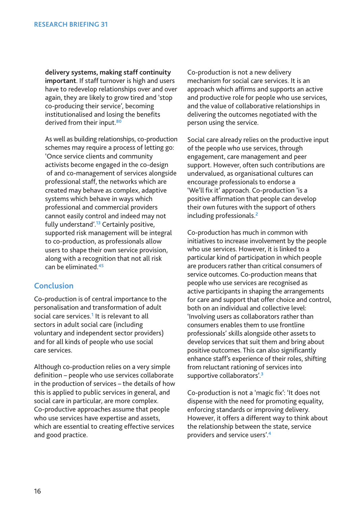**delivery systems, making staff continuity important**. If staff turnover is high and users have to redevelop relationships over and over again, they are likely to grow tired and 'stop co-producing their service', becoming institutionalised and losing the benefits derived from their input.**<sup>80</sup>**

As well as building relationships, co-production schemes may require a process of letting go: 'Once service clients and community activists become engaged in the co-design of and co-management of services alongside professional staff, the networks which are created may behave as complex, adaptive systems which behave in ways which professional and commercial providers cannot easily control and indeed may not fully understand'.**<sup>13</sup>** Certainly positive, supported risk management will be integral to co-production, as professionals allow users to shape their own service provision, along with a recognition that not all risk can be eliminated.**<sup>45</sup>**

### **Conclusion**

Co-production is of central importance to the personalisation and transformation of adult social care services.**<sup>1</sup>** It is relevant to all sectors in adult social care (including voluntary and independent sector providers) and for all kinds of people who use social care services.

Although co-production relies on a very simple definition – people who use services collaborate in the production of services – the details of how this is applied to public services in general, and social care in particular, are more complex. Co-productive approaches assume that people who use services have expertise and assets, which are essential to creating effective services and good practice.

Co-production is not a new delivery mechanism for social care services. It is an approach which affirms and supports an active and productive role for people who use services, and the value of collaborative relationships in delivering the outcomes negotiated with the person using the service.

Social care already relies on the productive input of the people who use services, through engagement, care management and peer support. However, often such contributions are undervalued, as organisational cultures can encourage professionals to endorse a 'We'll fix it' approach. Co-production 'is a positive affirmation that people can develop their own futures with the support of others including professionals.**<sup>2</sup>**

Co-production has much in common with initiatives to increase involvement by the people who use services. However, it is linked to a particular kind of participation in which people are producers rather than critical consumers of service outcomes. Co-production means that people who use services are recognised as active participants in shaping the arrangements for care and support that offer choice and control, both on an individual and collective level: 'Involving users as collaborators rather than consumers enables them to use frontline professionals' skills alongside other assets to develop services that suit them and bring about positive outcomes. This can also significantly enhance staff's experience of their roles, shifting from reluctant rationing of services into supportive collaborators'.**<sup>3</sup>**

Co-production is not a 'magic fix': 'It does not dispense with the need for promoting equality, enforcing standards or improving delivery. However, it offers a different way to think about the relationship between the state, service providers and service users'.**<sup>4</sup>**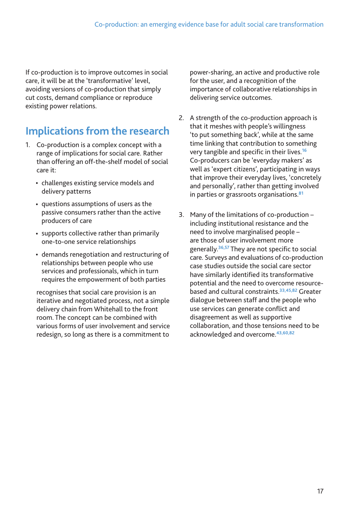If co-production is to improve outcomes in social care, it will be at the 'transformative' level, avoiding versions of co-production that simply cut costs, demand compliance or reproduce existing power relations.

# **Implications from the research**

- 1. Co-production is a complex concept with a range of implications for social care. Rather than offering an off-the-shelf model of social care it:
	- challenges existing service models and delivery patterns
	- questions assumptions of users as the passive consumers rather than the active producers of care
	- supports collective rather than primarily one-to-one service relationships
	- demands renegotiation and restructuring of relationships between people who use services and professionals, which in turn requires the empowerment of both parties

recognises that social care provision is an iterative and negotiated process, not a simple delivery chain from Whitehall to the front room. The concept can be combined with various forms of user involvement and service redesign, so long as there is a commitment to

power-sharing, an active and productive role for the user, and a recognition of the importance of collaborative relationships in delivering service outcomes.

- 2. A strength of the co-production approach is that it meshes with people's willingness 'to put something back', while at the same time linking that contribution to something very tangible and specific in their lives.**<sup>16</sup>** Co-producers can be 'everyday makers' as well as 'expert citizens', participating in ways that improve their everyday lives, 'concretely and personally', rather than getting involved in parties or grassroots organisations.**<sup>81</sup>**
- 3. Many of the limitations of co-production including institutional resistance and the need to involve marginalised people – are those of user involvement more generally.**36,57** They are not specific to social care. Surveys and evaluations of co-production case studies outside the social care sector have similarly identified its transformative potential and the need to overcome resourcebased and cultural constraints.**33,45,82** Greater dialogue between staff and the people who use services can generate conflict and disagreement as well as supportive collaboration, and those tensions need to be acknowledged and overcome.**43,60,82**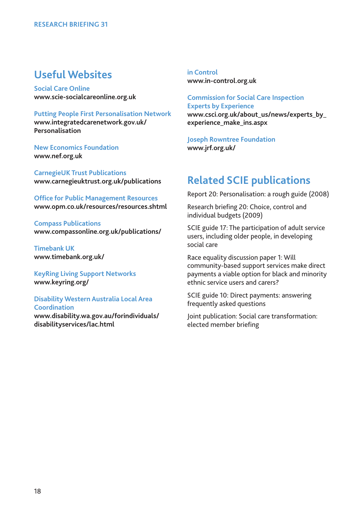### **Useful Websites**

**Social Care Online www.scie-socialcareonline.org.uk**

**Putting People First Personalisation Network [www.integratedcarenetwork.gov.uk/](http://www.integratedcarenetwork.gov.uk/Personalisation) Personalisation**

**New Economics Foundation www.nef.org.uk**

**CarnegieUK Trust Publications www.carnegieuktrust.org.uk/publications**

**Office for Public Management Resources www.opm.co.uk/resources/resources.shtml**

**Compass Publications www.compassonline.org.uk/publications/**

**Timebank UK www.timebank.org.uk/**

**KeyRing Living Support Networks www.keyring.org/**

**Disability Western Australia Local Area Coordination [www.disability.wa.gov.au/forindividuals/](http://www.disability.wa.gov.au/forindividuals/disability/lac.html) disabilityservices/lac.html**

**in Control www.in-control.org.uk**

**Commission for Social Care Inspection Experts by Experience [www.csci.org.uk/about\\_us/news/experts\\_by\\_](http://www.csci.org.uk/about_us/news/experts_by_experience_make_ins.aspx) experience\_make\_ins.aspx**

**Joseph Rowntree Foundation www.jrf.org.uk/**

### **Related SCIE publications**

Report 20: Personalisation: a rough guide (2008)

Research briefing 20: Choice, control and individual budgets (2009)

SCIE guide 17: The participation of adult service users, including older people, in developing social care

Race equality discussion paper 1: Will community-based support services make direct payments a viable option for black and minority ethnic service users and carers?

SCIE guide 10: Direct payments: answering frequently asked questions

Joint publication: Social care transformation: elected member briefing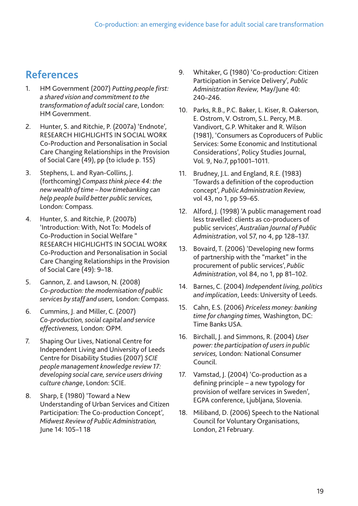# **References**

- 1. HM Government (2007) *Putting people first: a shared vision and commitment to the transformation of adult social care*, London: HM Government.
- 2. Hunter, S. and Ritchie, P. (2007a) 'Endnote', RESEARCH HIGHLIGHTS IN SOCIAL WORK Co-Production and Personalisation in Social Care Changing Relationships in the Provision of Social Care (49), pp (to iclude p. 155)
- 3. Stephens, L. and Ryan-Collins, J. (forthcoming)*Compass think piece 44: the new wealth of time – how timebanking can help people build better public services,* London: Compass.
- 4. Hunter, S. and Ritchie, P. (2007b) 'Introduction: With, Not To: Models of Co-Production in Social Welfare " RESEARCH HIGHLIGHTS IN SOCIAL WORK Co-Production and Personalisation in Social Care Changing Relationships in the Provision of Social Care (49): 9–18.
- 5. Gannon, Z. and Lawson, N. (2008) *Co-production: the modernisation of public services by staff and users,* London: Compass.
- 6. Cummins, J. and Miller, C. (2007) *Co-production, social capital and service effectiveness,* London: OPM.
- 7. Shaping Our Lives, National Centre for Independent Living and University of Leeds Centre for Disability Studies (2007) *SCIE people management knowledge review 17: developing social care, service users driving culture change*, London: SCIE.
- 8. Sharp, E (1980) 'Toward a New Understanding of Urban Services and Citizen Participation: The Co-production Concept', *Midwest Review of Public Administration,* June 14: 105–1 18
- 9. Whitaker, G (1980) 'Co-production: Citizen Participation in Service Delivery', *Public Administration Review,* May/June 40: 240–246.
- 10. Parks, R.B., P.C. Baker, L. Kiser, R. Oakerson, E. Ostrom, V. Ostrom, S.L. Percy, M.B. Vandivort, G.P. Whitaker and R. Wilson (1981), 'Consumers as Coproducers of Public Services: Some Economic and Institutional Considerations', Policy Studies Journal, Vol. 9, No.7, pp1001–1011.
- 11. Brudney, J.L. and England, R.E. (1983) 'Towards a definition of the coproduction concept', *Public Administration Review,* vol 43, no 1, pp 59–65.
- 12. Alford, J. (1998) 'A public management road less travelled: clients as co-producers of public services', *Australian Journal of Public Administration*, vol 57, no 4, pp 128–137.
- 13. Bovaird, T. (2006) 'Developing new forms of partnership with the "market" in the procurement of public services', *Public Administration*, vol 84, no 1, pp 81–102.
- 14. Barnes, C. (2004) *Independent living, politics and implication*, Leeds: University of Leeds.
- 15. Cahn, E.S. (2006) *Priceless money: banking time for changing times,* Washington, DC: Time Banks USA.
- 16. Birchall, J. and Simmons, R. (2004) *User power: the participation of users in public services,* London: National Consumer Council.
- 17. Vamstad, J. (2004) 'Co-production as a defining principle – a new typology for provision of welfare services in Sweden', EGPA conference, Ljubljana, Slovenia.
- 18. Miliband, D. (2006) Speech to the National Council for Voluntary Organisations, London, 21 February.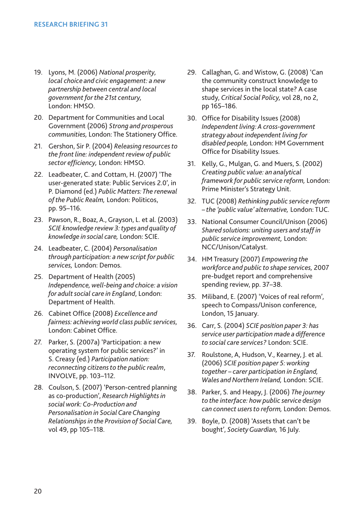- 19. Lyons, M. (2006) *National prosperity, local choice and civic engagement: a new partnership between central and local government for the 21st century,* London: HMSO.
- 20. Department for Communities and Local Government (2006) *Strong and prosperous communities,* London: The Stationery Office.
- 21. Gershon, Sir P. (2004) *Releasing resources to the front line: independent review of public sector efficiency,* London: HMSO.
- 22. Leadbeater, C. and Cottam, H. (2007) 'The user-generated state: Public Services 2.0', in P. Diamond (ed.) *Public Matters: The renewal of the Public Realm,* London: Politicos, pp. 95–116.
- 23. Pawson, R., Boaz, A., Grayson, L. et al. (2003) *SCIE knowledge review 3: types and quality of knowledge in social care,* London: SCIE.
- 24. Leadbeater, C. (2004) *Personalisation through participation: a new script for public services,* London: Demos.
- 25. Department of Health (2005) *Independence, well-being and choice: a vision for adult social care in England*, London: Department of Health.
- 26. Cabinet Office (2008) *Excellence and fairness: achieving world class public services,* London: Cabinet Office.
- 27. Parker, S. (2007a) 'Participation: a new operating system for public services?' in S. Creasy (ed.) *Participation nation: reconnecting citizens to the public realm*, INVOLVE, pp. 103–112.
- 28. Coulson, S. (2007) 'Person-centred planning as co-production', *Research Highlights in social work: Co-Production and Personalisation in Social Care Changing Relationships in the Provision of Social Care,* vol 49, pp 105–118.
- 29. Callaghan, G. and Wistow, G. (2008) 'Can the community construct knowledge to shape services in the local state? A case study, *Critical Social Policy,* vol 28, no 2, pp 165–186.
- 30. Office for Disability Issues (2008) *Independent living: A cross-government strategy about independent living for disabled people,* London: HM Government Office for Disability Issues.
- 31. Kelly, G., Mulgan, G. and Muers, S. (2002) *Creating public value: an analytical framework for public service reform,* London: Prime Minister's Strategy Unit.
- 32. TUC (2008) *Rethinking public service reform – the 'public value' alternative,* London: TUC.
- 33. National Consumer Council/Unison (2006) *Shared solutions: uniting users and staff in public service improvement,* London: NCC/Unison/Catalyst.
- 34. HM Treasury (2007) *Empowering the workforce and public to shape services,* 2007 pre-budget report and comprehensive spending review, pp. 37–38.
- 35. Miliband, E. (2007) 'Voices of real reform', speech to Compass/Unison conference, London, 15 January.
- 36. Carr, S. (2004) *SCIE position paper 3: has service user participation made a difference to social care services?* London: SCIE.
- 37. Roulstone, A, Hudson, V., Kearney, J. et al. (2006) *SCIE position paper 5: working together – carer participation in England, Wales and Northern Ireland,* London: SCIE.
- 38. Parker, S. and Heapy, J. (2006) *The journey to the interface: how public service design can connect users to reform,* London: Demos.
- 39. Boyle, D. (2008) 'Assets that can't be bought', *Society Guardian,* 16 July.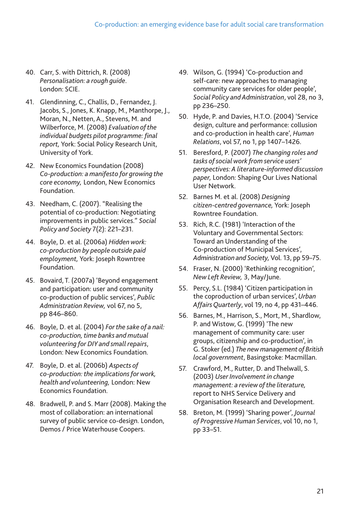- 40. Carr, S. with Dittrich, R. (2008) *Personalisation: a rough guide*. London: SCIE.
- 41. Glendinning, C., Challis, D., Fernandez, J. Jacobs, S., Jones, K. Knapp, M., Manthorpe, J., Moran, N., Netten, A., Stevens, M. and Wilberforce, M. (2008) *Evaluation of the individual budgets pilot programme: final report,* York: Social Policy Research Unit, University of York.
- 42. New Economics Foundation (2008) *Co-production: a manifesto for growing the core economy,* London, New Economics Foundation.
- 43. Needham, C. (2007). "Realising the potential of co-production: Negotiating improvements in public services." *Social Policy and Society* 7(2): 221–231.
- 44. Boyle, D. et al. (2006a) *Hidden work: co-production by people outside paid employment,* York: Joseph Rowntree Foundation.
- 45. Bovaird, T. (2007a) 'Beyond engagement and participation: user and community co-production of public services', *Public Administration Review,* vol 67, no 5, pp 846–860.
- 46. Boyle, D. et al. (2004) *For the sake of a nail: co-production, time banks and mutual volunteering for DIY and small repairs*, London: New Economics Foundation.
- 47. Boyle, D. et al. (2006b) *Aspects of co-production: the implications for work, health and volunteering,* London: New Economics Foundation.
- 48. Bradwell, P. and S. Marr (2008). Making the most of collaboration: an international survey of public service co-design. London, Demos / Price Waterhouse Coopers.
- 49. Wilson, G. (1994) 'Co-production and self-care: new approaches to managing community care services for older people', *Social Policy and Administration*, vol 28, no 3, pp 236–250.
- 50. Hyde, P. and Davies, H.T.O. (2004) 'Service design, culture and performance: collusion and co-production in health care', *Human Relations*, vol 57, no 1, pp 1407–1426.
- 51. Beresford, P. (2007) *The changing roles and tasks of social work from service users' perspectives: A literature-informed discussion paper,* London: Shaping Our Lives National User Network.
- 52. Barnes M. et al. (2008) *Designing citizen-centred governance,* York: Joseph Rowntree Foundation.
- 53. Rich, R.C. (1981) 'Interaction of the Voluntary and Governmental Sectors: Toward an Understanding of the Co-production of Municipal Services', Administration and Society, Vol. 13, pp 59-75.
- 54. Fraser, N. (2000) 'Rethinking recognition', *New Left Review,* 3, May/June.
- 55. Percy, S.L. (1984) 'Citizen participation in the coproduction of urban services',*Urban Affairs Quarterly*, vol 19, no 4, pp 431–446.
- 56. Barnes, M., Harrison, S., Mort, M., Shardlow, P. and Wistow, G. (1999) 'The new management of community care: user groups, citizenship and co-production', in G. Stoker (ed.) *The new management of British local government*, Basingstoke: Macmillan.
- 57. Crawford, M., Rutter, D. and Thelwall, S. (2003) *User Involvement in change management: a review of the literature,* report to NHS Service Delivery and Organisation Research and Development.
- 58. Breton, M. (1999) 'Sharing power', *Journal of Progressive Human Services*, vol 10, no 1, pp 33–51.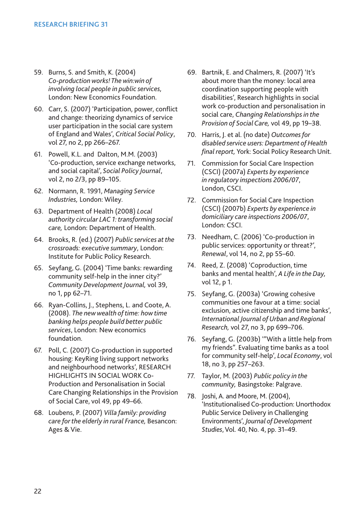- 59. Burns, S. and Smith, K. (2004) *Co-production works! The win:win of involving local people in public services,* London: New Economics Foundation.
- 60. Carr, S. (2007) 'Participation, power, conflict and change: theorizing dynamics of service user participation in the social care system of England and Wales', *Critical Social Policy*, vol 27, no 2, pp 266–267.
- 61. Powell, K.L. and Dalton, M.M. (2003) 'Co-production, service exchange networks, and social capital', *Social Policy Journal*, vol 2, no 2/3, pp 89–105.
- 62. Normann, R. 1991, *Managing Service Industries,* London: Wiley.
- 63. Department of Health (2008) *Local authority circular LAC 1: transforming social care,* London: Department of Health.
- 64. Brooks, R. (ed.) (2007) *Public services at the crossroads: executive summary*, London: Institute for Public Policy Research.
- 65. Seyfang, G. (2004) 'Time banks: rewarding community self-help in the inner city?' *Community Development Journal,* vol 39, no 1, pp 62–71.
- 66. Ryan-Collins, J., Stephens, L. and Coote, A. (2008). *The new wealth of time: how time banking helps people build better public services*, London: New economics foundation.
- 67. Poll, C. (2007) Co-production in supported housing: KeyRing living support networks and neighbourhood networks', RESEARCH HIGHLIGHTS IN SOCIAL WORK Co-Production and Personalisation in Social Care Changing Relationships in the Provision of Social Care, vol 49, pp 49–66.
- 68. Loubens, P. (2007) *Villa family: providing care for the elderly in rural France,* Besancon: Ages & Vie.
- 69. Bartnik, E. and Chalmers, R. (2007) 'It's about more than the money: local area coordination supporting people with disabilities', Research highlights in social work co-production and personalisation in social care, *Changing Relationships in the Provision of Social Care,* vol 49, pp 19–38.
- 70. Harris, J. et al. (no date) *Outcomes for disabled service users: Department of Health final report,* York: Social Policy Research Unit.
- 71. Commission for Social Care Inspection (CSCI) (2007a) *Experts by experience in regulatory inspections 2006/07*, London, CSCI.
- 72. Commission for Social Care Inspection (CSCI) (2007b) *Experts by experience in domiciliary care inspections 2006/07*, London: CSCI.
- 73. Needham, C. (2006) 'Co-production in public services: opportunity or threat?', *Renewal*, vol 14, no 2, pp 55–60.
- 74. Reed, Z. (2008) 'Coproduction, time banks and mental health', *A Life in the Day,* vol 12, p 1.
- 75. Seyfang, G. (2003a) 'Growing cohesive communities one favour at a time: social exclusion, active citizenship and time banks', *International Journal of Urban and Regional Research,* vol 27, no 3, pp 699–706.
- 76. Seyfang, G. (2003b) '"With a little help from my friends". Evaluating time banks as a tool for community self-help', *Local Economy*, vol 18, no 3, pp 257–263.
- 77. Taylor, M. (2003) *Public policy in the community,* Basingstoke: Palgrave.
- 78. Joshi, A. and Moore, M. (2004), 'Institutionalised Co-production: Unorthodox Public Service Delivery in Challenging Environments', *Journal of Development Studies*, Vol. 40, No. 4, pp. 31–49.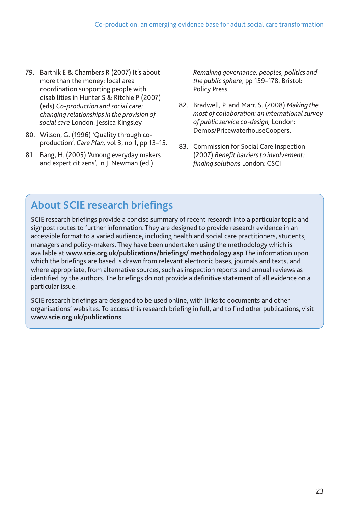- 79. Bartnik E & Chambers R (2007) It's about more than the money: local area coordination supporting people with disabilities in Hunter S & Ritchie P (2007) (eds) *Co-production and social care: changing relationships in the provision of social care* London: Jessica Kingsley
- 80. Wilson, G. (1996) 'Quality through coproduction', *Care Plan,* vol 3, no 1, pp 13–15.
- 81. Bang, H. (2005) 'Among everyday makers and expert citizens', in J. Newman (ed.)

*Remaking governance: peoples, politics and the public sphere*, pp 159–178, Bristol: Policy Press.

- 82. Bradwell, P. and Marr. S. (2008) *Making the most of collaboration: an international survey of public service co-design,* London: Demos/PricewaterhouseCoopers.
- 83. Commission for Social Care Inspection (2007) *Benefit barriers to involvement: finding solutions* London: CSCI

# **About SCIE research briefings**

SCIE research briefings provide a concise summary of recent research into a particular topic and signpost routes to further information. They are designed to provide research evidence in an accessible format to a varied audience, including health and social care practitioners, students, managers and policy-makers. They have been undertaken using the methodology which is available at **[www.scie.org.uk/publications/briefings/ methodology.asp](http://www.scie.org.uk/publications/briefings/methodology.asp)** The information upon which the briefings are based is drawn from relevant electronic bases, journals and texts, and where appropriate, from alternative sources, such as inspection reports and annual reviews as identified by the authors. The briefings do not provide a definitive statement of all evidence on a particular issue.

SCIE research briefings are designed to be used online, with links to documents and other organisations' websites. To access this research briefing in full, and to find other publications, visit **www.scie.org.uk/publications**